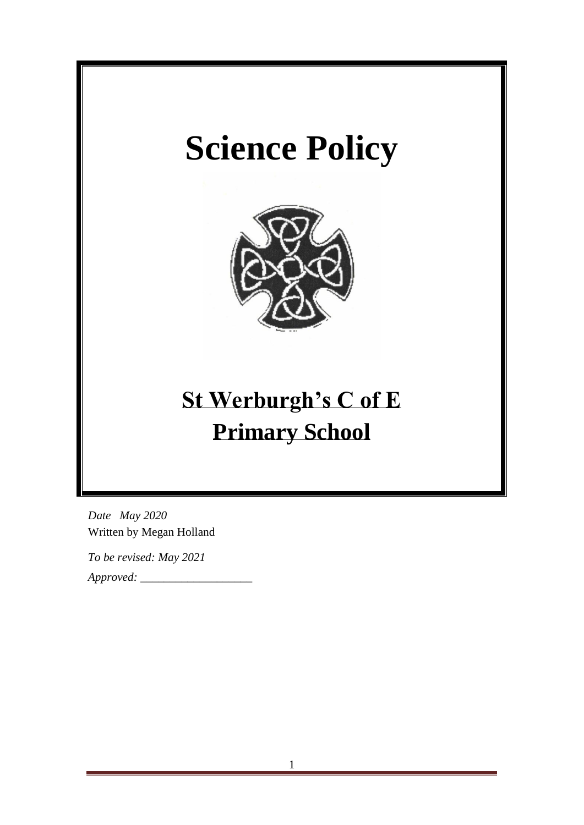# **Science Policy**



## **St Werburgh's C of E Primary School**

*Date May 2020* Written by Megan Holland

*To be revised: May 2021*

*Approved: \_\_\_\_\_\_\_\_\_\_\_\_\_\_\_\_\_\_\_*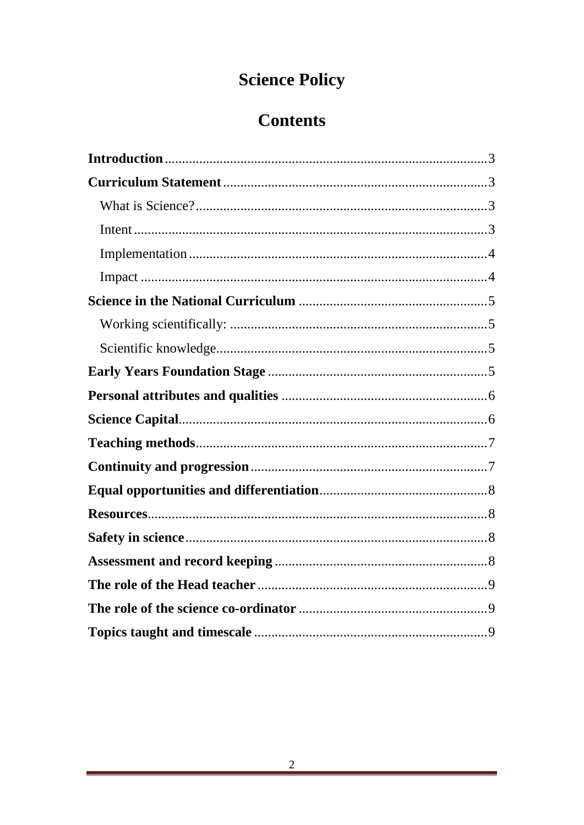## **Science Policy**

### **Contents**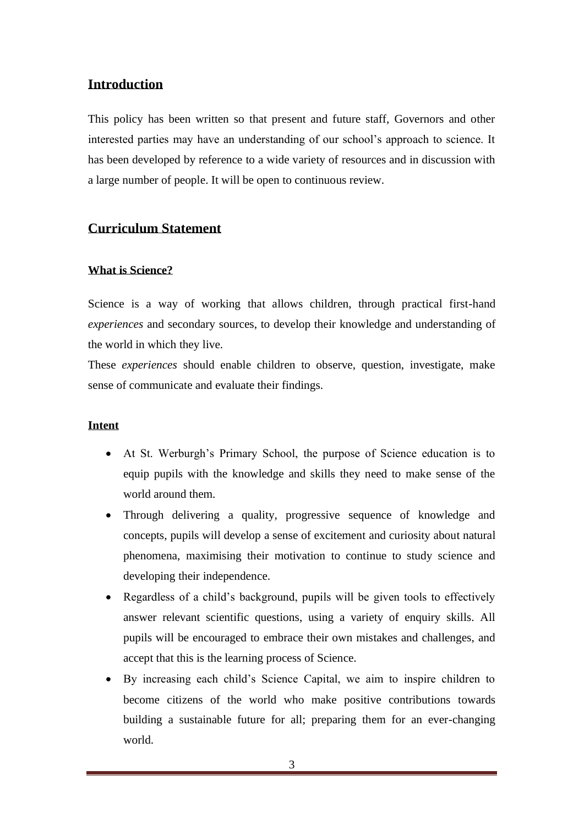#### <span id="page-2-0"></span>**Introduction**

This policy has been written so that present and future staff, Governors and other interested parties may have an understanding of our school's approach to science. It has been developed by reference to a wide variety of resources and in discussion with a large number of people. It will be open to continuous review.

#### <span id="page-2-1"></span>**Curriculum Statement**

#### <span id="page-2-2"></span>**What is Science?**

Science is a way of working that allows children, through practical first-hand *experiences* and secondary sources, to develop their knowledge and understanding of the world in which they live.

These *experiences* should enable children to observe, question, investigate, make sense of communicate and evaluate their findings.

#### <span id="page-2-3"></span>**Intent**

- At St. Werburgh's Primary School, the purpose of Science education is to equip pupils with the knowledge and skills they need to make sense of the world around them.
- Through delivering a quality, progressive sequence of knowledge and concepts, pupils will develop a sense of excitement and curiosity about natural phenomena, maximising their motivation to continue to study science and developing their independence.
- Regardless of a child's background, pupils will be given tools to effectively answer relevant scientific questions, using a variety of enquiry skills. All pupils will be encouraged to embrace their own mistakes and challenges, and accept that this is the learning process of Science.
- By increasing each child's Science Capital, we aim to inspire children to become citizens of the world who make positive contributions towards building a sustainable future for all; preparing them for an ever-changing world.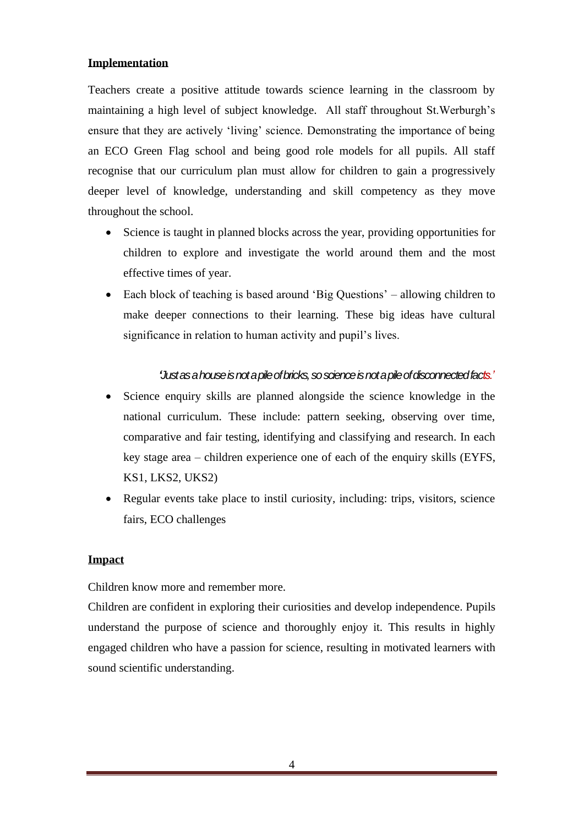#### <span id="page-3-0"></span>**Implementation**

Teachers create a positive attitude towards science learning in the classroom by maintaining a high level of subject knowledge. All staff throughout St.Werburgh's ensure that they are actively 'living' science. Demonstrating the importance of being an ECO Green Flag school and being good role models for all pupils. All staff recognise that our curriculum plan must allow for children to gain a progressively deeper level of knowledge, understanding and skill competency as they move throughout the school.

- Science is taught in planned blocks across the year, providing opportunities for children to explore and investigate the world around them and the most effective times of year.
- Each block of teaching is based around 'Big Questions' allowing children to make deeper connections to their learning. These big ideas have cultural significance in relation to human activity and pupil's lives.

#### *'Just as a house is not a pile of bricks, so science is not a pile of disconnected facts.'*

- Science enquiry skills are planned alongside the science knowledge in the national curriculum. These include: pattern seeking, observing over time, comparative and fair testing, identifying and classifying and research. In each key stage area – children experience one of each of the enquiry skills (EYFS, KS1, LKS2, UKS2)
- Regular events take place to instil curiosity, including: trips, visitors, science fairs, ECO challenges

#### <span id="page-3-1"></span>**Impact**

Children know more and remember more.

Children are confident in exploring their curiosities and develop independence. Pupils understand the purpose of science and thoroughly enjoy it. This results in highly engaged children who have a passion for science, resulting in motivated learners with sound scientific understanding.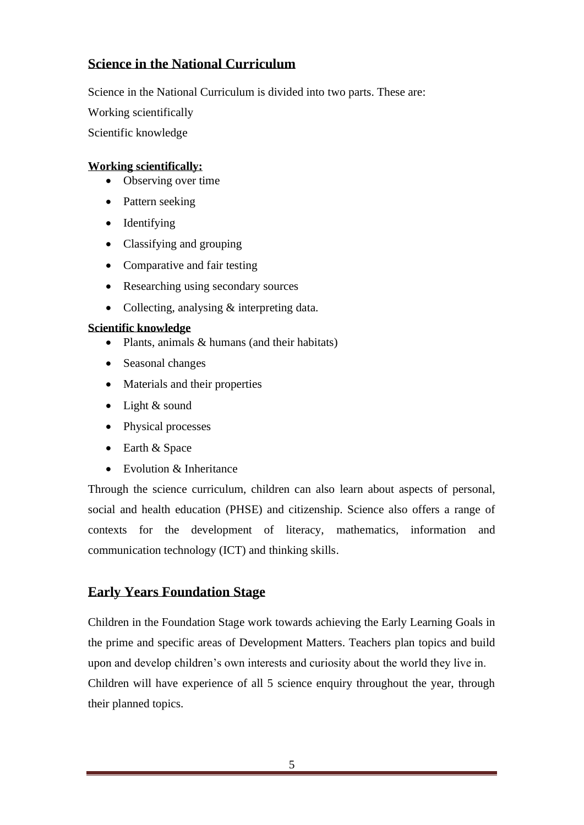#### <span id="page-4-0"></span>**Science in the National Curriculum**

Science in the National Curriculum is divided into two parts. These are:

Working scientifically

Scientific knowledge

#### <span id="page-4-1"></span>**Working scientifically:**

- Observing over time
- Pattern seeking
- Identifying
- Classifying and grouping
- Comparative and fair testing
- Researching using secondary sources
- Collecting, analysing & interpreting data.

#### <span id="page-4-2"></span>**Scientific knowledge**

- Plants, animals & humans (and their habitats)
- Seasonal changes
- Materials and their properties
- Light & sound
- Physical processes
- Earth & Space
- Evolution & Inheritance

Through the science curriculum, children can also learn about aspects of personal, social and health education (PHSE) and citizenship. Science also offers a range of contexts for the development of literacy, mathematics, information and communication technology (ICT) and thinking skills.

#### <span id="page-4-3"></span>**Early Years Foundation Stage**

Children in the Foundation Stage work towards achieving the Early Learning Goals in the prime and specific areas of Development Matters. Teachers plan topics and build upon and develop children's own interests and curiosity about the world they live in. Children will have experience of all 5 science enquiry throughout the year, through their planned topics.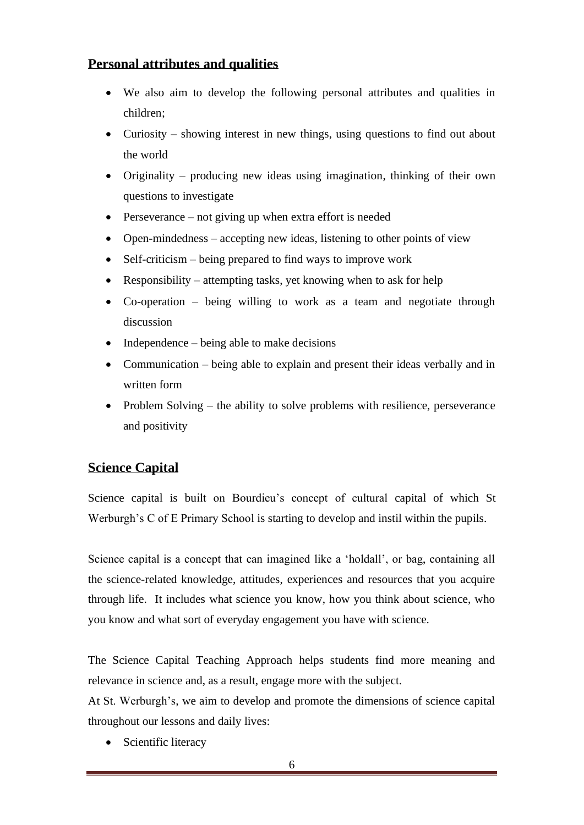#### <span id="page-5-0"></span>**Personal attributes and qualities**

- We also aim to develop the following personal attributes and qualities in children;
- Curiosity showing interest in new things, using questions to find out about the world
- Originality producing new ideas using imagination, thinking of their own questions to investigate
- Perseverance not giving up when extra effort is needed
- Open-mindedness accepting new ideas, listening to other points of view
- Self-criticism being prepared to find ways to improve work
- Responsibility attempting tasks, yet knowing when to ask for help
- Co-operation being willing to work as a team and negotiate through discussion
- Independence being able to make decisions
- Communication being able to explain and present their ideas verbally and in written form
- Problem Solving the ability to solve problems with resilience, perseverance and positivity

#### <span id="page-5-1"></span>**Science Capital**

Science capital is built on Bourdieu's concept of cultural capital of which St Werburgh's C of E Primary School is starting to develop and instil within the pupils.

Science capital is a concept that can imagined like a 'holdall', or bag, containing all the science-related knowledge, attitudes, experiences and resources that you acquire through life. It includes what science you know, how you think about science, who you know and what sort of everyday engagement you have with science.

The Science Capital Teaching Approach helps students find more meaning and relevance in science and, as a result, engage more with the subject.

At St. Werburgh's, we aim to develop and promote the dimensions of science capital throughout our lessons and daily lives:

• Scientific literacy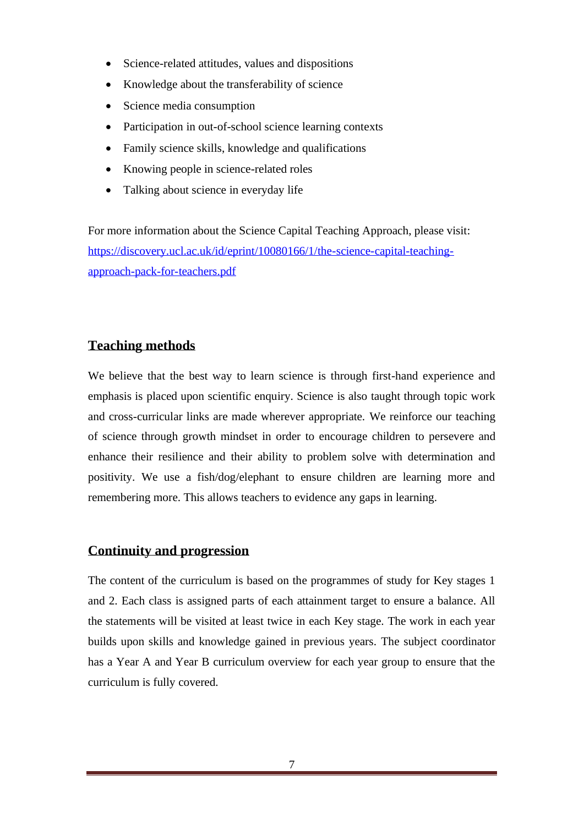- Science-related attitudes, values and dispositions
- Knowledge about the transferability of science
- Science media consumption
- Participation in out-of-school science learning contexts
- Family science skills, knowledge and qualifications
- Knowing people in science-related roles
- Talking about science in everyday life

For more information about the Science Capital Teaching Approach, please visit: [https://discovery.ucl.ac.uk/id/eprint/10080166/1/the-science-capital-teaching](https://discovery.ucl.ac.uk/id/eprint/10080166/1/the-science-capital-teaching-approach-pack-for-teachers.pdf)[approach-pack-for-teachers.pdf](https://discovery.ucl.ac.uk/id/eprint/10080166/1/the-science-capital-teaching-approach-pack-for-teachers.pdf)

#### <span id="page-6-0"></span>**Teaching methods**

We believe that the best way to learn science is through first-hand experience and emphasis is placed upon scientific enquiry. Science is also taught through topic work and cross-curricular links are made wherever appropriate. We reinforce our teaching of science through growth mindset in order to encourage children to persevere and enhance their resilience and their ability to problem solve with determination and positivity. We use a fish/dog/elephant to ensure children are learning more and remembering more. This allows teachers to evidence any gaps in learning.

#### <span id="page-6-1"></span>**Continuity and progression**

The content of the curriculum is based on the programmes of study for Key stages 1 and 2. Each class is assigned parts of each attainment target to ensure a balance. All the statements will be visited at least twice in each Key stage. The work in each year builds upon skills and knowledge gained in previous years. The subject coordinator has a Year A and Year B curriculum overview for each year group to ensure that the curriculum is fully covered.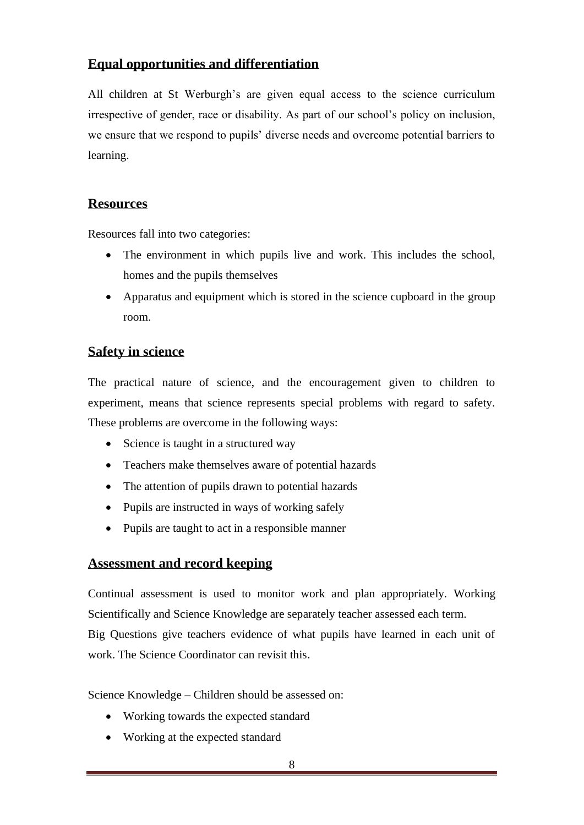#### <span id="page-7-0"></span>**Equal opportunities and differentiation**

All children at St Werburgh's are given equal access to the science curriculum irrespective of gender, race or disability. As part of our school's policy on inclusion, we ensure that we respond to pupils' diverse needs and overcome potential barriers to learning.

#### <span id="page-7-1"></span>**Resources**

Resources fall into two categories:

- The environment in which pupils live and work. This includes the school, homes and the pupils themselves
- Apparatus and equipment which is stored in the science cupboard in the group room.

#### <span id="page-7-2"></span>**Safety in science**

The practical nature of science, and the encouragement given to children to experiment, means that science represents special problems with regard to safety. These problems are overcome in the following ways:

- Science is taught in a structured way
- Teachers make themselves aware of potential hazards
- The attention of pupils drawn to potential hazards
- Pupils are instructed in ways of working safely
- Pupils are taught to act in a responsible manner

#### <span id="page-7-3"></span>**Assessment and record keeping**

Continual assessment is used to monitor work and plan appropriately. Working Scientifically and Science Knowledge are separately teacher assessed each term. Big Questions give teachers evidence of what pupils have learned in each unit of work. The Science Coordinator can revisit this.

Science Knowledge – Children should be assessed on:

- Working towards the expected standard
- Working at the expected standard